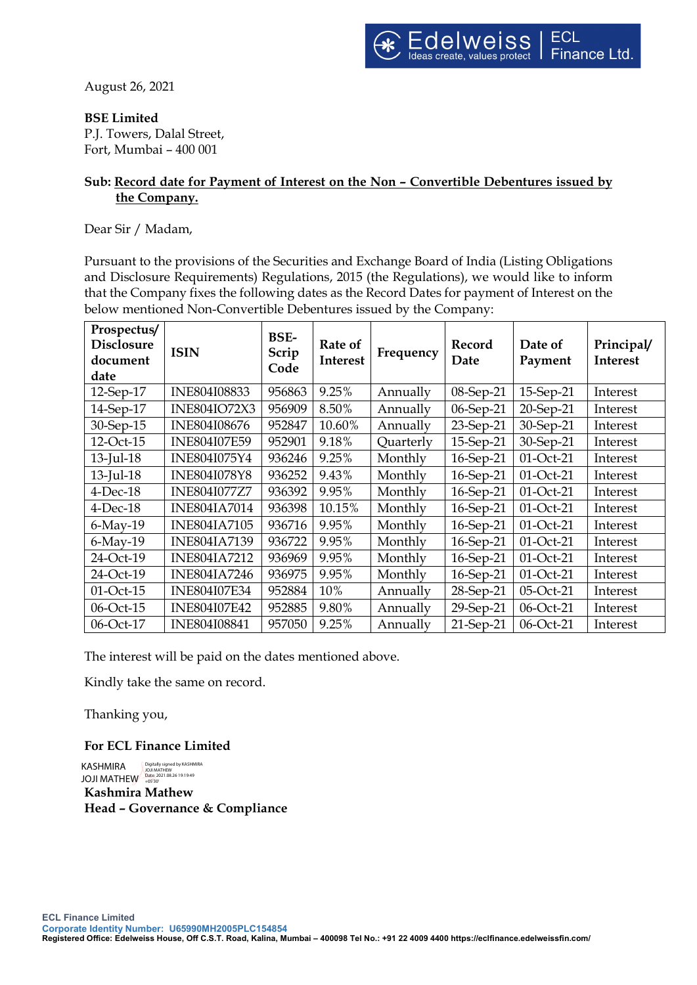August 26, 2021

## **BSE Limited**

P.J. Towers, Dalal Street, Fort, Mumbai – 400 001

## **Sub: Record date for Payment of Interest on the Non – Convertible Debentures issued by the Company.**

Dear Sir / Madam,

Pursuant to the provisions of the Securities and Exchange Board of India (Listing Obligations and Disclosure Requirements) Regulations, 2015 (the Regulations), we would like to inform that the Company fixes the following dates as the Record Dates for payment of Interest on the below mentioned Non-Convertible Debentures issued by the Company:

| Prospectus/<br><b>Disclosure</b><br>document<br>date | <b>ISIN</b>         | <b>BSE-</b><br>Scrip<br>Code | Rate of<br>Interest | Frequency | Record<br>Date | Date of<br>Payment | Principal/<br><b>Interest</b> |
|------------------------------------------------------|---------------------|------------------------------|---------------------|-----------|----------------|--------------------|-------------------------------|
| $12$ -Sep- $17$                                      | INE804I08833        | 956863                       | 9.25%               | Annually  | 08-Sep-21      | 15-Sep-21          | Interest                      |
| 14-Sep-17                                            | <b>INE804IO72X3</b> | 956909                       | 8.50%               | Annually  | 06-Sep-21      | 20-Sep-21          | Interest                      |
| 30-Sep-15                                            | INE804I08676        | 952847                       | 10.60%              | Annually  | 23-Sep-21      | 30-Sep-21          | Interest                      |
| 12-Oct-15                                            | <b>INE804I07E59</b> | 952901                       | 9.18%               | Quarterly | 15-Sep-21      | 30-Sep-21          | Interest                      |
| $13$ -Jul-18                                         | INE804I075Y4        | 936246                       | 9.25%               | Monthly   | 16-Sep-21      | 01-Oct-21          | Interest                      |
| $13$ -Jul-18                                         | <b>INE804I078Y8</b> | 936252                       | 9.43%               | Monthly   | 16-Sep-21      | 01-Oct-21          | Interest                      |
| $4$ -Dec-18                                          | <b>INE804I077Z7</b> | 936392                       | 9.95%               | Monthly   | 16-Sep-21      | 01-Oct-21          | Interest                      |
| $4$ -Dec-18                                          | <b>INE804IA7014</b> | 936398                       | 10.15%              | Monthly   | 16-Sep-21      | 01-Oct-21          | Interest                      |
| $6$ -May-19                                          | <b>INE804IA7105</b> | 936716                       | 9.95%               | Monthly   | 16-Sep-21      | 01-Oct-21          | Interest                      |
| $6$ -May-19                                          | <b>INE804IA7139</b> | 936722                       | 9.95%               | Monthly   | 16-Sep-21      | 01-Oct-21          | Interest                      |
| 24-Oct-19                                            | <b>INE804IA7212</b> | 936969                       | 9.95%               | Monthly   | 16-Sep-21      | 01-Oct-21          | Interest                      |
| 24-Oct-19                                            | <b>INE804IA7246</b> | 936975                       | 9.95%               | Monthly   | 16-Sep-21      | 01-Oct-21          | Interest                      |
| 01-Oct-15                                            | <b>INE804I07E34</b> | 952884                       | 10%                 | Annually  | 28-Sep-21      | 05-Oct-21          | Interest                      |
| 06-Oct-15                                            | <b>INE804I07E42</b> | 952885                       | 9.80%               | Annually  | 29-Sep-21      | 06-Oct-21          | Interest                      |
| 06-Oct-17                                            | INE804I08841        | 957050                       | 9.25%               | Annually  | $21$ -Sep-21   | 06-Oct-21          | Interest                      |

The interest will be paid on the dates mentioned above.

Kindly take the same on record.

Thanking you,

**For ECL Finance Limited**

**Kashmira Mathew Head – Governance & Compliance** KASHMIRA JOJI MATHEW Digitally signed by KASHMIRA JOJI MATHEW Date: 2021.08.26 19:19:49 +05'30'